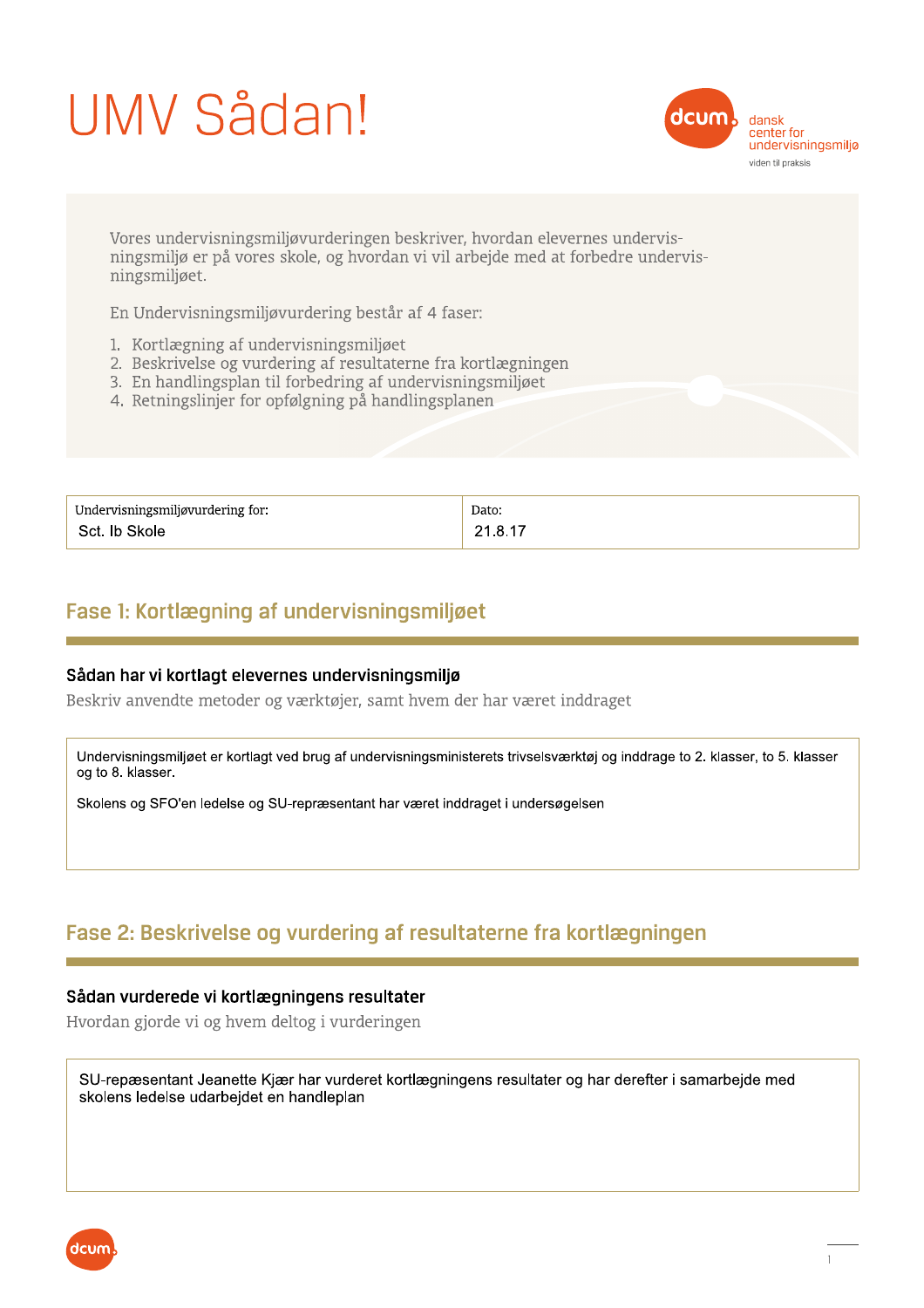# UMV Sådan!



Vores undervisningsmiljøvurderingen beskriver, hvordan elevernes undervisningsmiljø er på vores skole, og hvordan vi vil arbejde med at forbedre undervisningsmiljøet.

En Undervisningsmiljøvurdering består af 4 faser:

- 1. Kortlægning af undervisningsmiljøet
- 2. Beskrivelse og vurdering af resultaterne fra kortlægningen
- 3. En handlingsplan til forbedring af undervisningsmiljøet
- 4. Retningslinjer for opfølgning på handlingsplanen

| Undervisningsmiljøvurdering for: | Dato:   |
|----------------------------------|---------|
| Sct. Ib Skole                    | 21.8.17 |

## Fase 1: Kortlægning af undervisningsmiljøet

#### Sådan har vi kortlagt elevernes undervisningsmiljø

Beskriv anvendte metoder og værktøjer, samt hvem der har været inddraget

Undervisningsmiljøet er kortlagt ved brug af undervisningsministerets trivselsværktøj og inddrage to 2. klasser, to 5. klasser og to 8. klasser.

Skolens og SFO'en ledelse og SU-repræsentant har været inddraget i undersøgelsen

# Fase 2: Beskrivelse og vurdering af resultaterne fra kortlægningen

#### Sådan vurderede vi kortlægningens resultater

Hvordan gjorde vi og hvem deltog i vurderingen

SU-repæsentant Jeanette Kjær har vurderet kortlægningens resultater og har derefter i samarbejde med skolens ledelse udarbejdet en handleplan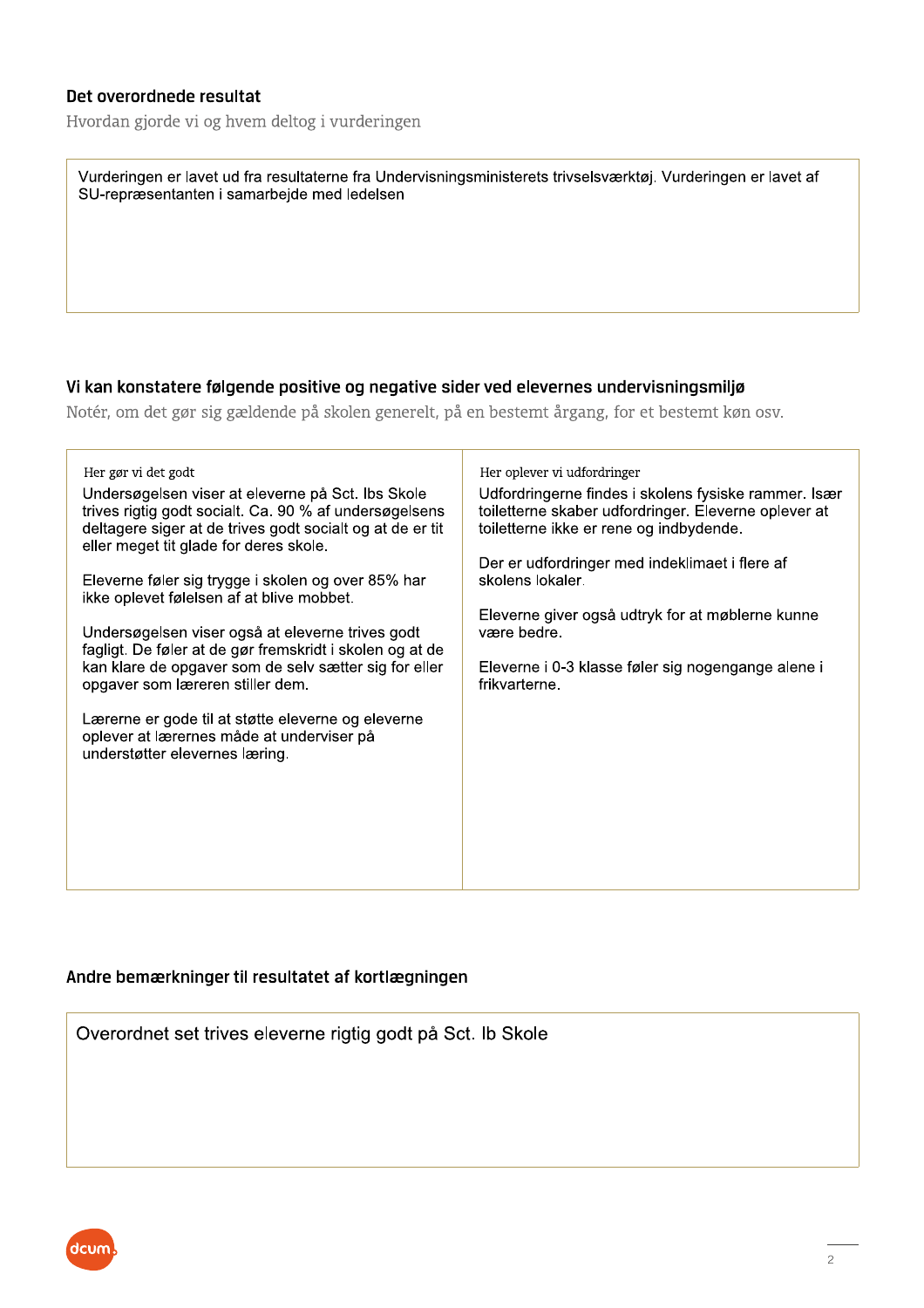#### Det overordnede resultat

Hvordan gjorde vi og hvem deltog i vurderingen

| Vurderingen er lavet ud fra resultaterne fra Undervisningsministerets trivselsværktøj. Vurderingen er lavet af |  |
|----------------------------------------------------------------------------------------------------------------|--|
| SU-repræsentanten i samarbejde med ledelsen                                                                    |  |

#### Vi kan konstatere følgende positive og negative sider ved elevernes undervisningsmiljø

Notér, om det gør sig gældende på skolen generelt, på en bestemt årgang, for et bestemt køn osv.

| Her gør vi det godt                                                                                                                                                                                                | Her oplever vi udfordringer                                                                                                                             |
|--------------------------------------------------------------------------------------------------------------------------------------------------------------------------------------------------------------------|---------------------------------------------------------------------------------------------------------------------------------------------------------|
| Undersøgelsen viser at eleverne på Sct. Ibs Skole<br>trives rigtig godt socialt. Ca. 90 % af undersøgelsens<br>deltagere siger at de trives godt socialt og at de er tit<br>eller meget tit glade for deres skole. | Udfordringerne findes i skolens fysiske rammer. Især<br>toiletterne skaber udfordringer. Eleverne oplever at<br>toiletterne ikke er rene og indbydende. |
| Eleverne føler sig trygge i skolen og over 85% har<br>ikke oplevet følelsen af at blive mobbet.                                                                                                                    | Der er udfordringer med indeklimaet i flere af<br>skolens lokaler.                                                                                      |
| Undersøgelsen viser også at eleverne trives godt<br>fagligt. De føler at de gør fremskridt i skolen og at de                                                                                                       | Eleverne giver også udtryk for at møblerne kunne<br>være bedre.                                                                                         |
| kan klare de opgaver som de selv sætter sig for eller<br>opgaver som læreren stiller dem.                                                                                                                          | Eleverne i 0-3 klasse føler sig nogengange alene i<br>frikvarterne.                                                                                     |
| Lærerne er gode til at støtte eleverne og eleverne<br>oplever at lærernes måde at underviser på<br>understøtter elevernes læring.                                                                                  |                                                                                                                                                         |
|                                                                                                                                                                                                                    |                                                                                                                                                         |
|                                                                                                                                                                                                                    |                                                                                                                                                         |

#### Andre bemærkninger til resultatet af kortlægningen

Overordnet set trives eleverne rigtig godt på Sct. Ib Skole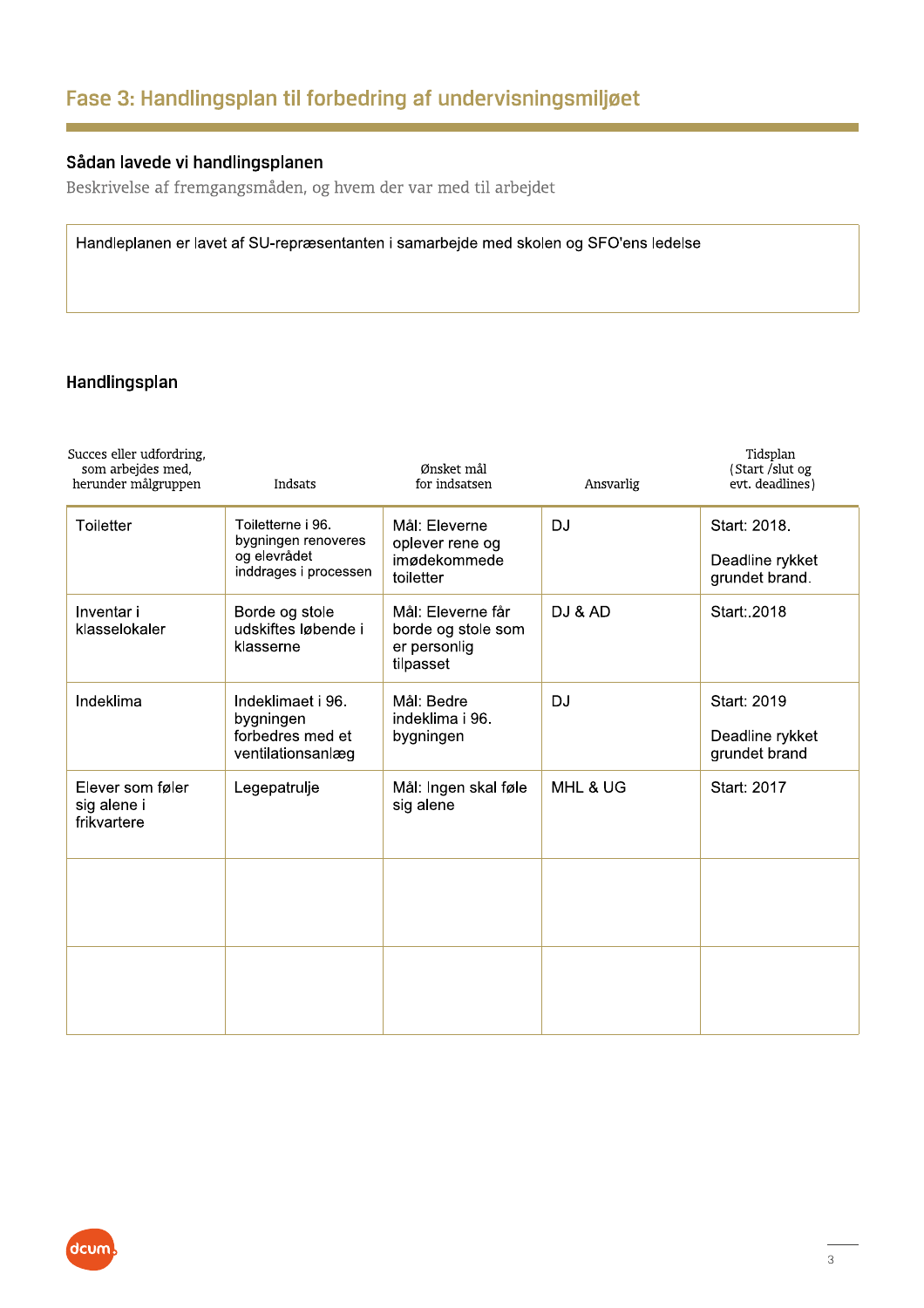# Fase 3: Handlingsplan til forbedring af undervisningsmiljøet

### Sådan lavede vi handlingsplanen

Beskrivelse af fremgangsmåden, og hvem der var med til arbejdet

Handleplanen er lavet af SU-repræsentanten i samarbejde med skolen og SFO'ens ledelse

#### Handlingsplan

| Succes eller udfordring,<br>som arbejdes med,<br>herunder målgruppen | Indsats                                                                           | Ønsket mål<br>for indsatsen                                          | Ansvarlig | Tidsplan<br>(Start /slut og<br>evt. deadlines)    |
|----------------------------------------------------------------------|-----------------------------------------------------------------------------------|----------------------------------------------------------------------|-----------|---------------------------------------------------|
| Toiletter                                                            | Toiletterne i 96.<br>bygningen renoveres<br>og elevrådet<br>inddrages i processen | Mål: Eleverne<br>oplever rene og<br>imødekommede<br>toiletter        | <b>DJ</b> | Start: 2018.<br>Deadline rykket<br>grundet brand. |
| Inventar i<br>klasselokaler                                          | Borde og stole<br>udskiftes løbende i<br>klasserne                                | Mål: Eleverne får<br>borde og stole som<br>er personlig<br>tilpasset | DJ & AD   | Start: 2018                                       |
| Indeklima                                                            | Indeklimaet i 96.<br>bygningen<br>forbedres med et<br>ventilationsanlæg           | Mål: Bedre<br>indeklima i 96.<br>bygningen                           | <b>DJ</b> | Start: 2019<br>Deadline rykket<br>grundet brand   |
| Elever som føler<br>sig alene i<br>frikvartere                       | Legepatrulje                                                                      | Mål: Ingen skal føle<br>sig alene                                    | MHL & UG  | Start: 2017                                       |
|                                                                      |                                                                                   |                                                                      |           |                                                   |
|                                                                      |                                                                                   |                                                                      |           |                                                   |